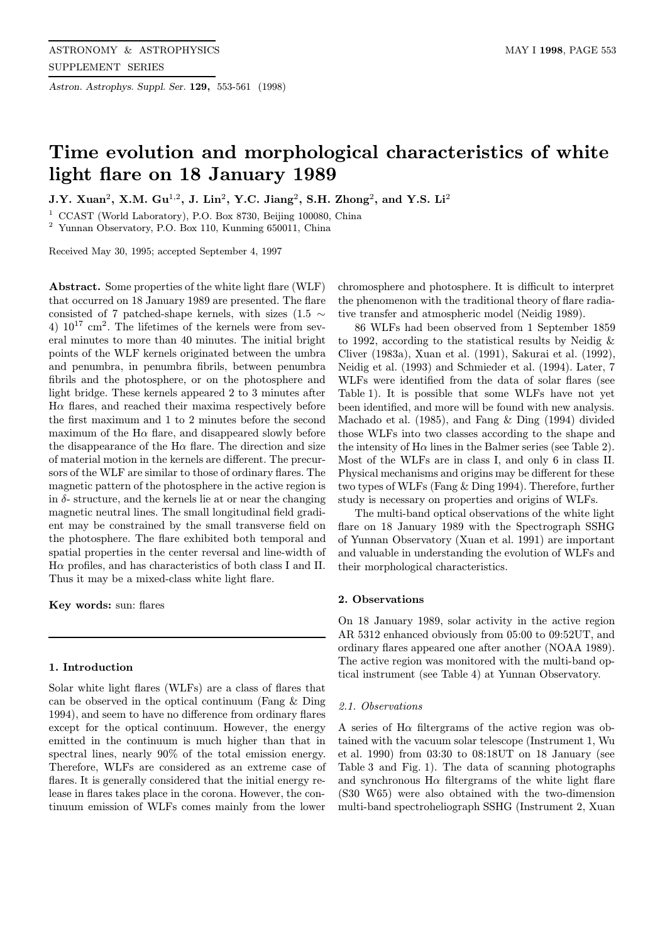Astron. Astrophys. Suppl. Ser. 129, 553-561 (1998)

# Time evolution and morphological characteristics of white light flare on 18 January 1989

J.Y. Xuan<sup>2</sup>, X.M. Gu<sup>1,2</sup>, J. Lin<sup>2</sup>, Y.C. Jiang<sup>2</sup>, S.H. Zhong<sup>2</sup>, and Y.S. Li<sup>2</sup>

<sup>1</sup> CCAST (World Laboratory), P.O. Box 8730, Beijing 100080, China

<sup>2</sup> Yunnan Observatory, P.O. Box 110, Kunming 650011, China

Received May 30, 1995; accepted September 4, 1997

Abstract. Some properties of the white light flare (WLF) that occurred on 18 January 1989 are presented. The flare consisted of 7 patched-shape kernels, with sizes (1.5  $\sim$ 4)  $10^{17}$  cm<sup>2</sup>. The lifetimes of the kernels were from several minutes to more than 40 minutes. The initial bright points of the WLF kernels originated between the umbra and penumbra, in penumbra fibrils, between penumbra fibrils and the photosphere, or on the photosphere and light bridge. These kernels appeared 2 to 3 minutes after  $H\alpha$  flares, and reached their maxima respectively before the first maximum and 1 to 2 minutes before the second maximum of the  $H\alpha$  flare, and disappeared slowly before the disappearance of the  $H\alpha$  flare. The direction and size of material motion in the kernels are different. The precursors of the WLF are similar to those of ordinary flares. The magnetic pattern of the photosphere in the active region is in  $\delta$ - structure, and the kernels lie at or near the changing magnetic neutral lines. The small longitudinal field gradient may be constrained by the small transverse field on the photosphere. The flare exhibited both temporal and spatial properties in the center reversal and line-width of  $H\alpha$  profiles, and has characteristics of both class I and II. Thus it may be a mixed-class white light flare.

Key words: sun: flares

## 1. Introduction

Solar white light flares (WLFs) are a class of flares that can be observed in the optical continuum (Fang & Ding 1994), and seem to have no difference from ordinary flares except for the optical continuum. However, the energy emitted in the continuum is much higher than that in spectral lines, nearly 90% of the total emission energy. Therefore, WLFs are considered as an extreme case of flares. It is generally considered that the initial energy release in flares takes place in the corona. However, the continuum emission of WLFs comes mainly from the lower

chromosphere and photosphere. It is difficult to interpret the phenomenon with the traditional theory of flare radiative transfer and atmospheric model (Neidig 1989).

86 WLFs had been observed from 1 September 1859 to 1992, according to the statistical results by Neidig & Cliver (1983a), Xuan et al. (1991), Sakurai et al. (1992), Neidig et al. (1993) and Schmieder et al. (1994). Later, 7 WLFs were identified from the data of solar flares (see Table 1). It is possible that some WLFs have not yet been identified, and more will be found with new analysis. Machado et al. (1985), and Fang & Ding (1994) divided those WLFs into two classes according to the shape and the intensity of  $H\alpha$  lines in the Balmer series (see Table 2). Most of the WLFs are in class I, and only 6 in class II. Physical mechanisms and origins may be different for these two types of WLFs (Fang & Ding 1994). Therefore, further study is necessary on properties and origins of WLFs.

The multi-band optical observations of the white light flare on 18 January 1989 with the Spectrograph SSHG of Yunnan Observatory (Xuan et al. 1991) are important and valuable in understanding the evolution of WLFs and their morphological characteristics.

## 2. Observations

On 18 January 1989, solar activity in the active region AR 5312 enhanced obviously from 05:00 to 09:52UT, and ordinary flares appeared one after another (NOAA 1989). The active region was monitored with the multi-band optical instrument (see Table 4) at Yunnan Observatory.

## 2.1. Observations

A series of  $H\alpha$  filtergrams of the active region was obtained with the vacuum solar telescope (Instrument 1, Wu et al. 1990) from 03:30 to 08:18UT on 18 January (see Table 3 and Fig. 1). The data of scanning photographs and synchronous  $H\alpha$  filtergrams of the white light flare (S30 W65) were also obtained with the two-dimension multi-band spectroheliograph SSHG (Instrument 2, Xuan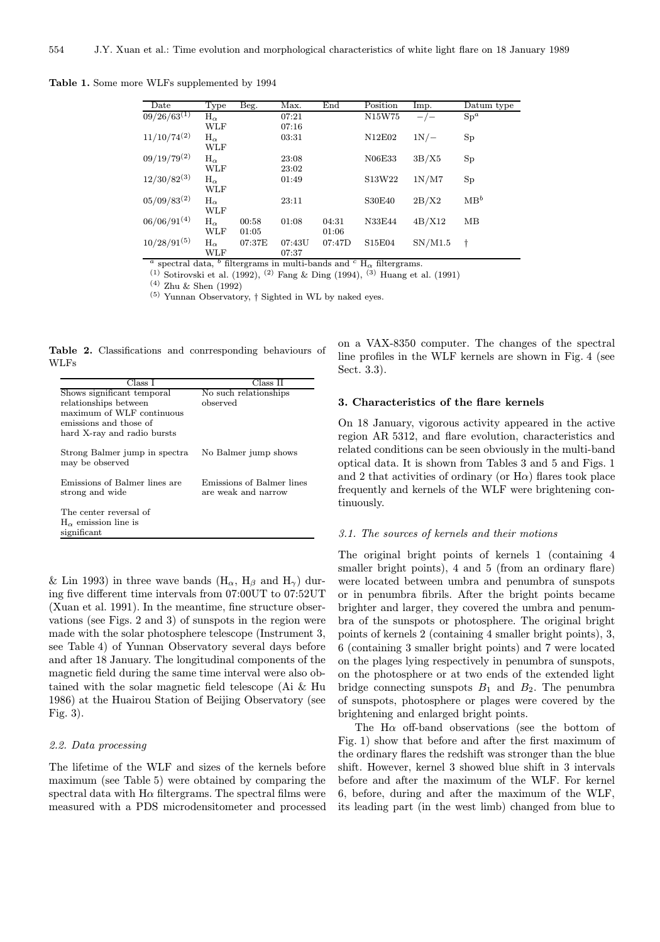Table 1. Some more WLFs supplemented by 1994

| Date             | Type         | Beg.   | Max.   | End    | Position                        | Imp.    | Datum type      |
|------------------|--------------|--------|--------|--------|---------------------------------|---------|-----------------|
| $09/26/63^{(1)}$ | $H_{\alpha}$ |        | 07:21  |        | N15W75                          |         | $Sp^a$          |
|                  | WLF          |        | 07:16  |        |                                 |         |                 |
| $11/10/74^{(2)}$ | $H_{\alpha}$ |        | 03:31  |        | N12E02                          | 1N/     | Sp              |
|                  | WLF          |        |        |        |                                 |         |                 |
| $09/19/79^{(2)}$ | $H_{\alpha}$ |        | 23:08  |        | N06E33                          | 3B/X5   | Sp              |
|                  | WLF          |        | 23:02  |        |                                 |         |                 |
| $12/30/82^{(3)}$ | $H_{\alpha}$ |        | 01:49  |        | S13W22                          | 1N/M7   | Sp              |
|                  | WLF          |        |        |        |                                 |         |                 |
| $05/09/83^{(2)}$ | $H_{\alpha}$ |        | 23:11  |        | <b>S30E40</b>                   | 2B/X2   | MB <sup>b</sup> |
|                  | WLF          |        |        |        |                                 |         |                 |
| $06/06/91^{(4)}$ | $H_{\alpha}$ | 00:58  | 01:08  | 04:31  | N33E44                          | 4B/X12  | MB              |
|                  | WLF          | 01:05  |        | 01:06  |                                 |         |                 |
| $10/28/91^{(5)}$ | $H_{\alpha}$ | 07:37E | 07:43U | 07:47D | S <sub>15</sub> E <sub>04</sub> | SN/M1.5 | t               |
|                  | WLF          |        | 07:37  |        |                                 |         |                 |

<sup>a</sup> spectral data, <sup>b</sup> filtergrams in multi-bands and <sup>c</sup> H<sub> $\alpha$ </sub> filtergrams.

 $(1)$  Sotirovski et al. (1992),  $(2)$  Fang & Ding (1994),  $(3)$  Huang et al. (1991)

(4) Zhu & Shen (1992)

 $^{(5)}$  Yunnan Observatory,  $\dagger$  Sighted in WL by naked eyes.

Table 2. Classifications and conrresponding behaviours of WLFs

| Class I                                          | Class II                                         |
|--------------------------------------------------|--------------------------------------------------|
| Shows significant temporal                       | No such relationships                            |
| relationships between                            | observed                                         |
| maximum of WLF continuous                        |                                                  |
| emissions and those of                           |                                                  |
| hard X-ray and radio bursts                      |                                                  |
| Strong Balmer jump in spectra<br>may be observed | No Balmer jump shows                             |
| Emissions of Balmer lines are<br>strong and wide | Emissions of Balmer lines<br>are weak and narrow |
| The center reversal of                           |                                                  |
| $H_{\alpha}$ emission line is                    |                                                  |
| significant                                      |                                                  |

& Lin 1993) in three wave bands  $(H_{\alpha}, H_{\beta} \text{ and } H_{\gamma})$  during five different time intervals from 07:00UT to 07:52UT (Xuan et al. 1991). In the meantime, fine structure observations (see Figs. 2 and 3) of sunspots in the region were made with the solar photosphere telescope (Instrument 3, see Table 4) of Yunnan Observatory several days before and after 18 January. The longitudinal components of the magnetic field during the same time interval were also obtained with the solar magnetic field telescope (Ai & Hu 1986) at the Huairou Station of Beijing Observatory (see Fig. 3).

#### 2.2. Data processing

The lifetime of the WLF and sizes of the kernels before maximum (see Table 5) were obtained by comparing the spectral data with  $H\alpha$  filtergrams. The spectral films were measured with a PDS microdensitometer and processed

on a VAX-8350 computer. The changes of the spectral line profiles in the WLF kernels are shown in Fig. 4 (see Sect. 3.3).

#### 3. Characteristics of the flare kernels

On 18 January, vigorous activity appeared in the active region AR 5312, and flare evolution, characteristics and related conditions can be seen obviously in the multi-band optical data. It is shown from Tables 3 and 5 and Figs. 1 and 2 that activities of ordinary (or  $H\alpha$ ) flares took place frequently and kernels of the WLF were brightening continuously.

## 3.1. The sources of kernels and their motions

The original bright points of kernels 1 (containing 4 smaller bright points), 4 and 5 (from an ordinary flare) were located between umbra and penumbra of sunspots or in penumbra fibrils. After the bright points became brighter and larger, they covered the umbra and penumbra of the sunspots or photosphere. The original bright points of kernels 2 (containing 4 smaller bright points), 3, 6 (containing 3 smaller bright points) and 7 were located on the plages lying respectively in penumbra of sunspots, on the photosphere or at two ends of the extended light bridge connecting sunspots  $B_1$  and  $B_2$ . The penumbra of sunspots, photosphere or plages were covered by the brightening and enlarged bright points.

The H $\alpha$  off-band observations (see the bottom of Fig. 1) show that before and after the first maximum of the ordinary flares the redshift was stronger than the blue shift. However, kernel 3 showed blue shift in 3 intervals before and after the maximum of the WLF. For kernel 6, before, during and after the maximum of the WLF, its leading part (in the west limb) changed from blue to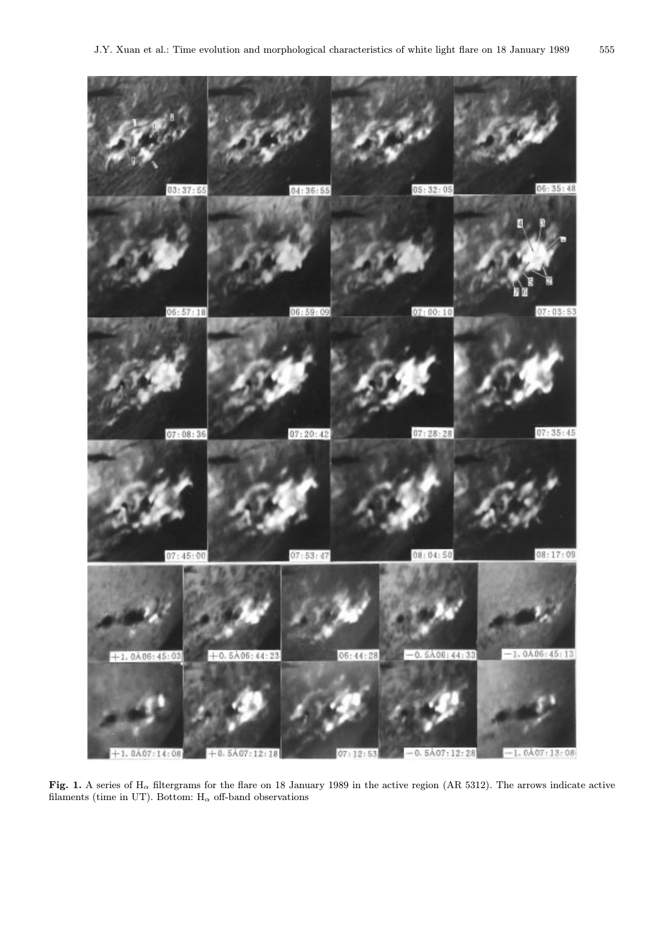

Fig. 1. A series of  $H_{\alpha}$  filtergrams for the flare on 18 January 1989 in the active region (AR 5312). The arrows indicate active filaments (time in UT). Bottom:  $H_{\alpha}$  off-band observations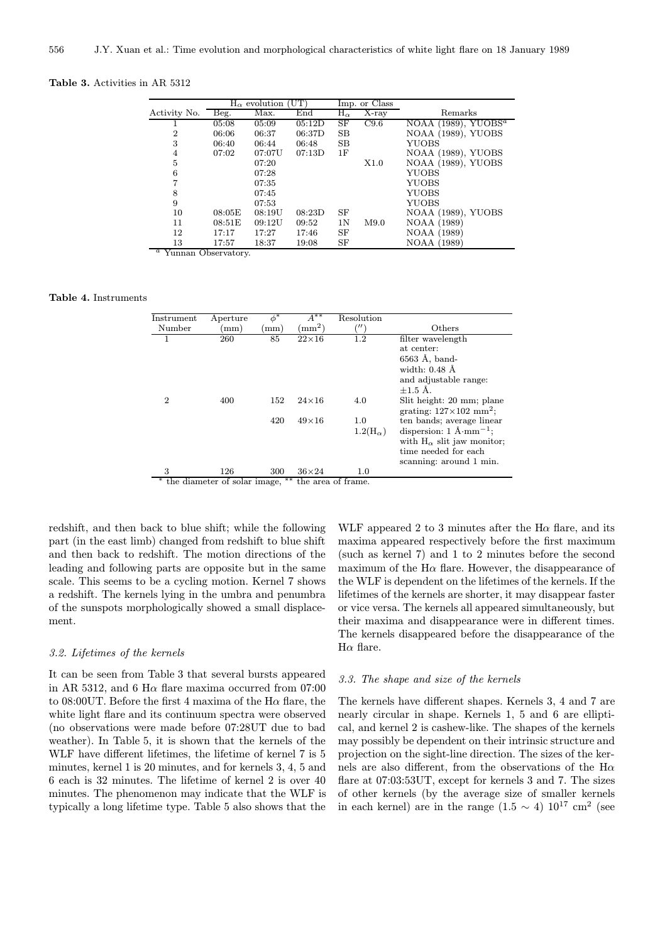Table 3. Activities in AR 5312

|              | $H_{\alpha}$ evolution (UT) |        |                     | Imp. or Class    |       |                                    |
|--------------|-----------------------------|--------|---------------------|------------------|-------|------------------------------------|
| Activity No. | Beg.                        | Max.   | End                 | $\rm H_{\alpha}$ | X-ray | Remarks                            |
|              | 05:08                       | 05:09  | $\overline{05:12D}$ | SF               | C9.6  | NOAA $(1989)$ , YUOBS <sup>a</sup> |
| 2            | 06:06                       | 06:37  | 06:37D              | SB               |       | NOAA (1989), YUOBS                 |
| 3            | 06:40                       | 06:44  | 06:48               | SB               |       | YUOBS                              |
| 4            | 07:02                       | 07:07U | 07:13D              | 1F               |       | NOAA (1989), YUOBS                 |
| 5            |                             | 07:20  |                     |                  | X1.0  | NOAA (1989), YUOBS                 |
| 6            |                             | 07:28  |                     |                  |       | YUOBS                              |
|              |                             | 07:35  |                     |                  |       | <b>YUOBS</b>                       |
| 8            |                             | 07:45  |                     |                  |       | YUOBS                              |
| 9            |                             | 07:53  |                     |                  |       | YUOBS                              |
| 10           | 08:05E                      | 08:19U | 08:23D              | SF               |       | NOAA (1989), YUOBS                 |
| 11           | 08:51E                      | 09:12U | 09:52               | 1 <sub>N</sub>   | M9.0  | <b>NOAA</b> (1989)                 |
| 12           | 17:17                       | 17:27  | 17:46               | SF               |       | NOAA (1989)                        |
| 13           | 17:57                       | 18:37  | 19:08               | SF               |       | NOAA (1989)                        |

<sup>a</sup> Yunnan Observatory.

Table 4. Instruments

| Instrument                                                  | Aperture | $\phi^*$   | $A^{**}$     | Resolution      |                                                 |  |  |  |  |
|-------------------------------------------------------------|----------|------------|--------------|-----------------|-------------------------------------------------|--|--|--|--|
| Number                                                      | (mm)     | $\pmod{m}$ | $\rm (mm^2)$ |                 | Others                                          |  |  |  |  |
|                                                             |          |            |              |                 |                                                 |  |  |  |  |
|                                                             | 260      | 85         | $22\times16$ | 1.2             | filter wavelength                               |  |  |  |  |
|                                                             |          |            |              |                 | at center:                                      |  |  |  |  |
|                                                             |          |            |              |                 | $6563$ Å, band-                                 |  |  |  |  |
|                                                             |          |            |              |                 | width: $0.48$ $\AA$                             |  |  |  |  |
|                                                             |          |            |              |                 | and adjustable range:                           |  |  |  |  |
|                                                             |          |            |              |                 | $+1.5A$ .                                       |  |  |  |  |
| $\overline{2}$                                              | 400      | 152        | $24\times16$ | 4.0             | Slit height: 20 mm; plane                       |  |  |  |  |
|                                                             |          |            |              |                 | grating: $127 \times 102$ mm <sup>2</sup> ;     |  |  |  |  |
|                                                             |          | 420        | $49\times16$ | 1.0             | ten bands; average linear                       |  |  |  |  |
|                                                             |          |            |              | $1.2(H_\alpha)$ | dispersion: $1 \text{ Å}\cdot \text{mm}^{-1}$ ; |  |  |  |  |
|                                                             |          |            |              |                 | with $H_{\alpha}$ slit jaw monitor;             |  |  |  |  |
|                                                             |          |            |              |                 | time needed for each                            |  |  |  |  |
|                                                             |          |            |              |                 | scanning: around 1 min.                         |  |  |  |  |
| 3                                                           | 126      | 300        | $36\times24$ | 1.0             |                                                 |  |  |  |  |
| $***$<br>the diameter of solar image,<br>the area of frame. |          |            |              |                 |                                                 |  |  |  |  |
|                                                             |          |            |              |                 |                                                 |  |  |  |  |

redshift, and then back to blue shift; while the following part (in the east limb) changed from redshift to blue shift and then back to redshift. The motion directions of the leading and following parts are opposite but in the same scale. This seems to be a cycling motion. Kernel 7 shows a redshift. The kernels lying in the umbra and penumbra of the sunspots morphologically showed a small displacement.

## 3.2. Lifetimes of the kernels

It can be seen from Table 3 that several bursts appeared in AR 5312, and 6 H $\alpha$  flare maxima occurred from 07:00 to 08:00UT. Before the first 4 maxima of the H $\alpha$  flare, the white light flare and its continuum spectra were observed (no observations were made before 07:28UT due to bad weather). In Table 5, it is shown that the kernels of the WLF have different lifetimes, the lifetime of kernel 7 is 5 minutes, kernel 1 is 20 minutes, and for kernels 3, 4, 5 and 6 each is 32 minutes. The lifetime of kernel 2 is over 40 minutes. The phenomenon may indicate that the WLF is typically a long lifetime type. Table 5 also shows that the

WLF appeared 2 to 3 minutes after the  $H\alpha$  flare, and its maxima appeared respectively before the first maximum (such as kernel 7) and 1 to 2 minutes before the second maximum of the  $H\alpha$  flare. However, the disappearance of the WLF is dependent on the lifetimes of the kernels. If the lifetimes of the kernels are shorter, it may disappear faster or vice versa. The kernels all appeared simultaneously, but their maxima and disappearance were in different times. The kernels disappeared before the disappearance of the  $H\alpha$  flare.

## 3.3. The shape and size of the kernels

The kernels have different shapes. Kernels 3, 4 and 7 are nearly circular in shape. Kernels 1, 5 and 6 are elliptical, and kernel 2 is cashew-like. The shapes of the kernels may possibly be dependent on their intrinsic structure and projection on the sight-line direction. The sizes of the kernels are also different, from the observations of the  $H\alpha$ flare at 07:03:53UT, except for kernels 3 and 7. The sizes of other kernels (by the average size of smaller kernels in each kernel) are in the range  $(1.5 \sim 4)$  10<sup>17</sup> cm<sup>2</sup> (see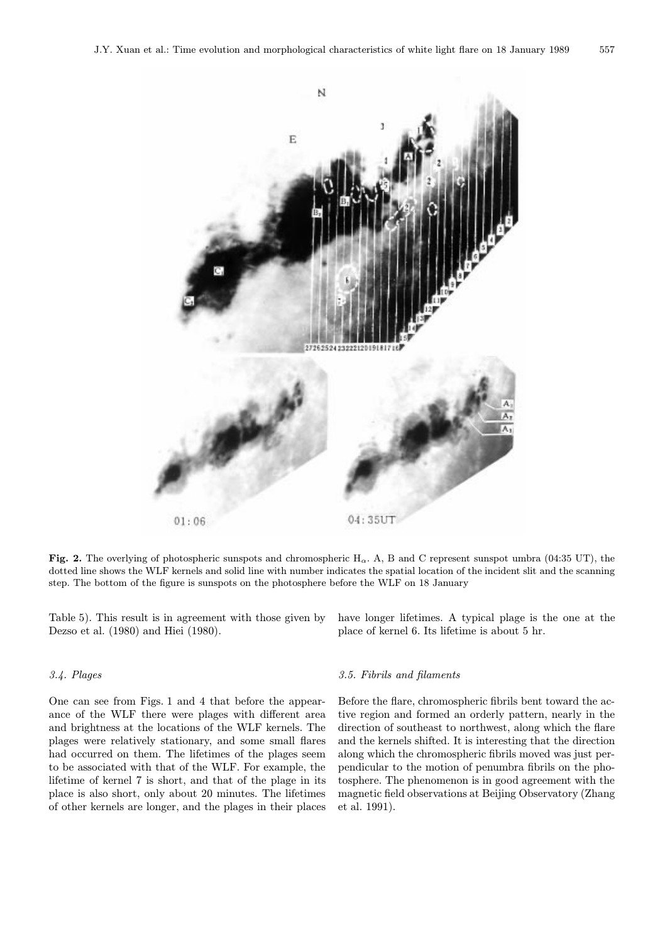

Fig. 2. The overlying of photospheric sunspots and chromospheric H<sub> $\alpha$ </sub>. A, B and C represent sunspot umbra (04:35 UT), the dotted line shows the WLF kernels and solid line with number indicates the spatial location of the incident slit and the scanning step. The bottom of the figure is sunspots on the photosphere before the WLF on 18 January

Table 5). This result is in agreement with those given by Dezso et al. (1980) and Hiei (1980).

## 3.4. Plages

One can see from Figs. 1 and 4 that before the appearance of the WLF there were plages with different area and brightness at the locations of the WLF kernels. The plages were relatively stationary, and some small flares had occurred on them. The lifetimes of the plages seem to be associated with that of the WLF. For example, the lifetime of kernel 7 is short, and that of the plage in its place is also short, only about 20 minutes. The lifetimes of other kernels are longer, and the plages in their places have longer lifetimes. A typical plage is the one at the place of kernel 6. Its lifetime is about 5 hr.

## 3.5. Fibrils and filaments

Before the flare, chromospheric fibrils bent toward the active region and formed an orderly pattern, nearly in the direction of southeast to northwest, along which the flare and the kernels shifted. It is interesting that the direction along which the chromospheric fibrils moved was just perpendicular to the motion of penumbra fibrils on the photosphere. The phenomenon is in good agreement with the magnetic field observations at Beijing Observatory (Zhang et al. 1991).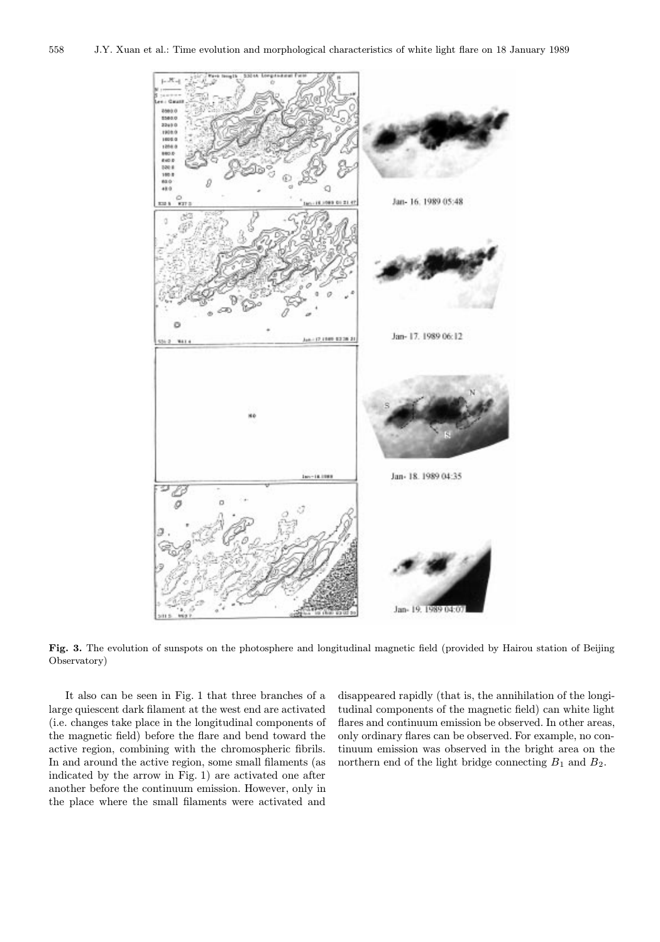

Fig. 3. The evolution of sunspots on the photosphere and longitudinal magnetic field (provided by Hairou station of Beijing Observatory)

It also can be seen in Fig. 1 that three branches of a large quiescent dark filament at the west end are activated (i.e. changes take place in the longitudinal components of the magnetic field) before the flare and bend toward the active region, combining with the chromospheric fibrils. In and around the active region, some small filaments (as indicated by the arrow in Fig. 1) are activated one after another before the continuum emission. However, only in the place where the small filaments were activated and

disappeared rapidly (that is, the annihilation of the longitudinal components of the magnetic field) can white light flares and continuum emission be observed. In other areas, only ordinary flares can be observed. For example, no continuum emission was observed in the bright area on the northern end of the light bridge connecting  $B_1$  and  $B_2$ .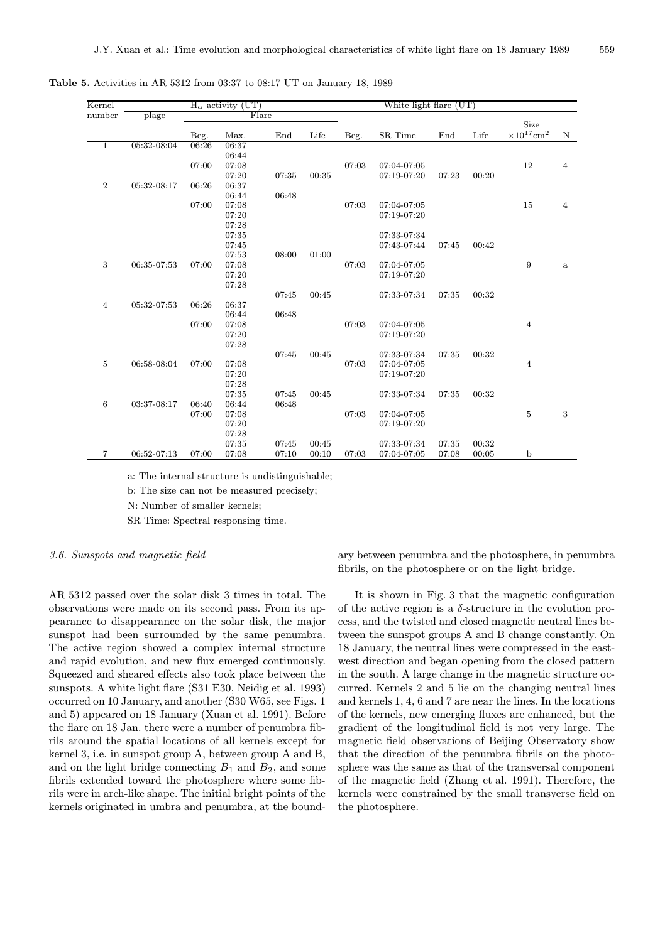| Kernel         |             | (UT)<br>$H_{\alpha}$ activity |       |       |       |       | White light flare (UT) |       |       |                                     |                |
|----------------|-------------|-------------------------------|-------|-------|-------|-------|------------------------|-------|-------|-------------------------------------|----------------|
| number         | plage       | Flare                         |       |       |       |       |                        |       |       |                                     |                |
|                |             | Beg.                          | Max.  | End   | Life  | Beg.  | SR Time                | End   | Life  | Size<br>$\times 10^{17} {\rm cm}^2$ | N              |
| 1              | 05:32-08:04 | 06:26                         | 06:37 |       |       |       |                        |       |       |                                     |                |
|                |             |                               | 06:44 |       |       |       |                        |       |       |                                     |                |
|                |             | 07:00                         | 07:08 |       |       | 07:03 | 07:04-07:05            |       |       | 12                                  | $\overline{4}$ |
|                |             |                               | 07:20 | 07:35 | 00:35 |       | 07:19-07:20            | 07:23 | 00:20 |                                     |                |
| $\overline{2}$ | 05:32-08:17 | 06:26                         | 06:37 |       |       |       |                        |       |       |                                     |                |
|                |             |                               | 06:44 | 06:48 |       |       |                        |       |       |                                     |                |
|                |             | 07:00                         | 07:08 |       |       | 07:03 | 07:04-07:05            |       |       | $15\,$                              | $\overline{4}$ |
|                |             |                               | 07:20 |       |       |       | 07:19-07:20            |       |       |                                     |                |
|                |             |                               | 07:28 |       |       |       |                        |       |       |                                     |                |
|                |             |                               | 07:35 |       |       |       | 07:33-07:34            |       |       |                                     |                |
|                |             |                               | 07:45 |       |       |       | 07:43-07:44            | 07:45 | 00:42 |                                     |                |
|                |             |                               | 07:53 | 08:00 | 01:00 |       |                        |       |       |                                     |                |
| 3              | 06:35-07:53 | 07:00                         | 07:08 |       |       | 07:03 | 07:04-07:05            |       |       | 9                                   | $\mathbf{a}$   |
|                |             |                               | 07:20 |       |       |       | 07:19-07:20            |       |       |                                     |                |
|                |             |                               | 07:28 |       |       |       |                        |       |       |                                     |                |
|                |             |                               |       | 07:45 | 00:45 |       | 07:33-07:34            | 07:35 | 00:32 |                                     |                |
| $\overline{4}$ | 05:32-07:53 | 06:26                         | 06:37 |       |       |       |                        |       |       |                                     |                |
|                |             |                               | 06:44 | 06:48 |       |       |                        |       |       |                                     |                |
|                |             | 07:00                         | 07:08 |       |       | 07:03 | 07:04-07:05            |       |       | $\overline{4}$                      |                |
|                |             |                               | 07:20 |       |       |       | 07:19-07:20            |       |       |                                     |                |
|                |             |                               | 07:28 |       |       |       |                        |       |       |                                     |                |
|                |             |                               |       | 07:45 | 00:45 |       | 07:33-07:34            | 07:35 | 00:32 |                                     |                |
| 5              | 06:58-08:04 | 07:00                         | 07:08 |       |       | 07:03 | 07:04-07:05            |       |       | $\overline{4}$                      |                |
|                |             |                               | 07:20 |       |       |       | 07:19-07:20            |       |       |                                     |                |
|                |             |                               | 07:28 |       |       |       |                        |       |       |                                     |                |
|                |             |                               | 07:35 | 07:45 | 00:45 |       | 07:33-07:34            | 07:35 | 00:32 |                                     |                |
| 6              | 03:37-08:17 | 06:40                         | 06:44 | 06:48 |       |       |                        |       |       |                                     |                |
|                |             | 07:00                         | 07:08 |       |       | 07:03 | 07:04-07:05            |       |       | $\bf 5$                             | 3              |
|                |             |                               | 07:20 |       |       |       | 07:19-07:20            |       |       |                                     |                |
|                |             |                               | 07:28 |       |       |       |                        |       |       |                                     |                |
|                |             |                               | 07:35 | 07:45 | 00:45 |       | 07:33-07:34            | 07:35 | 00:32 |                                     |                |
| $\overline{7}$ | 06:52-07:13 | 07:00                         | 07:08 | 07:10 | 00:10 | 07:03 | 07:04-07:05            | 07:08 | 00:05 | $\mathbf b$                         |                |

Table 5. Activities in AR 5312 from 03:37 to 08:17 UT on January 18, 1989

a: The internal structure is undistinguishable;

b: The size can not be measured precisely;

N: Number of smaller kernels;

SR Time: Spectral responsing time.

## 3.6. Sunspots and magnetic field

AR 5312 passed over the solar disk 3 times in total. The observations were made on its second pass. From its appearance to disappearance on the solar disk, the major sunspot had been surrounded by the same penumbra. The active region showed a complex internal structure and rapid evolution, and new flux emerged continuously. Squeezed and sheared effects also took place between the sunspots. A white light flare (S31 E30, Neidig et al. 1993) occurred on 10 January, and another (S30 W65, see Figs. 1 and 5) appeared on 18 January (Xuan et al. 1991). Before the flare on 18 Jan. there were a number of penumbra fibrils around the spatial locations of all kernels except for kernel 3, i.e. in sunspot group A, between group A and B, and on the light bridge connecting  $B_1$  and  $B_2$ , and some fibrils extended toward the photosphere where some fibrils were in arch-like shape. The initial bright points of the kernels originated in umbra and penumbra, at the bound-

ary between penumbra and the photosphere, in penumbra fibrils, on the photosphere or on the light bridge.

It is shown in Fig. 3 that the magnetic configuration of the active region is a  $\delta$ -structure in the evolution process, and the twisted and closed magnetic neutral lines between the sunspot groups A and B change constantly. On 18 January, the neutral lines were compressed in the eastwest direction and began opening from the closed pattern in the south. A large change in the magnetic structure occurred. Kernels 2 and 5 lie on the changing neutral lines and kernels 1, 4, 6 and 7 are near the lines. In the locations of the kernels, new emerging fluxes are enhanced, but the gradient of the longitudinal field is not very large. The magnetic field observations of Beijing Observatory show that the direction of the penumbra fibrils on the photosphere was the same as that of the transversal component of the magnetic field (Zhang et al. 1991). Therefore, the kernels were constrained by the small transverse field on the photosphere.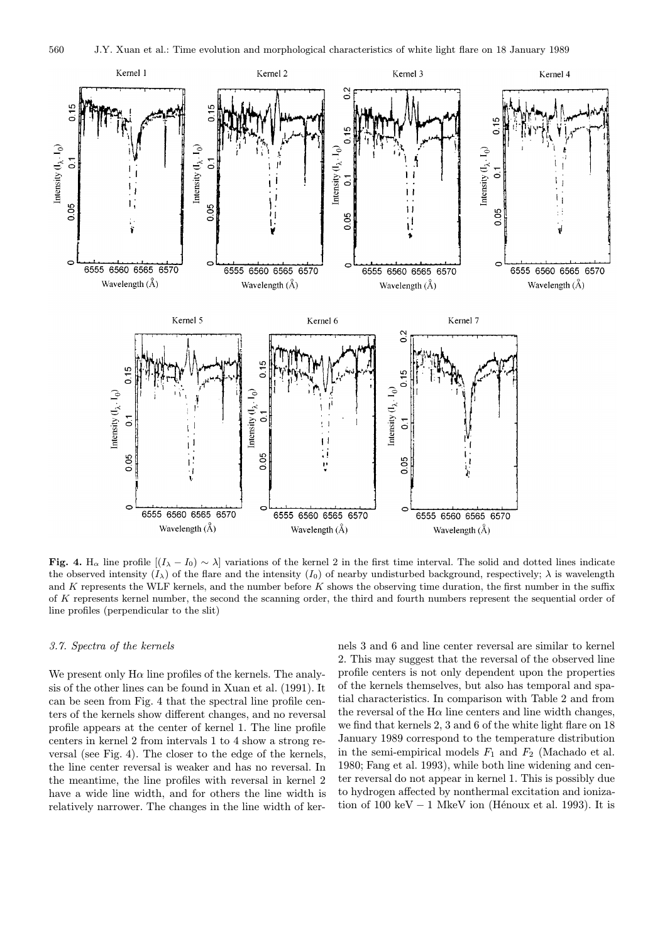

**Fig. 4.** H<sub>α</sub> line profile  $[(I_{\lambda} - I_0) \sim \lambda]$  variations of the kernel 2 in the first time interval. The solid and dotted lines indicate the observed intensity  $(I_\lambda)$  of the flare and the intensity  $(I_0)$  of nearby undisturbed background, respectively;  $\lambda$  is wavelength and K represents the WLF kernels, and the number before K shows the observing time duration, the first number in the suffix of K represents kernel number, the second the scanning order, the third and fourth numbers represent the sequential order of line profiles (perpendicular to the slit)

## 3.7. Spectra of the kernels

We present only  $H\alpha$  line profiles of the kernels. The analysis of the other lines can be found in Xuan et al. (1991). It can be seen from Fig. 4 that the spectral line profile centers of the kernels show different changes, and no reversal profile appears at the center of kernel 1. The line profile centers in kernel 2 from intervals 1 to 4 show a strong reversal (see Fig. 4). The closer to the edge of the kernels, the line center reversal is weaker and has no reversal. In the meantime, the line profiles with reversal in kernel 2 have a wide line width, and for others the line width is relatively narrower. The changes in the line width of ker-

nels 3 and 6 and line center reversal are similar to kernel 2. This may suggest that the reversal of the observed line profile centers is not only dependent upon the properties of the kernels themselves, but also has temporal and spatial characteristics. In comparison with Table 2 and from the reversal of the  $H\alpha$  line centers and line width changes, we find that kernels 2, 3 and 6 of the white light flare on 18 January 1989 correspond to the temperature distribution in the semi-empirical models  $F_1$  and  $F_2$  (Machado et al. 1980; Fang et al. 1993), while both line widening and center reversal do not appear in kernel 1. This is possibly due to hydrogen affected by nonthermal excitation and ionization of 100 keV  $-1$  MkeV ion (Hénoux et al. 1993). It is